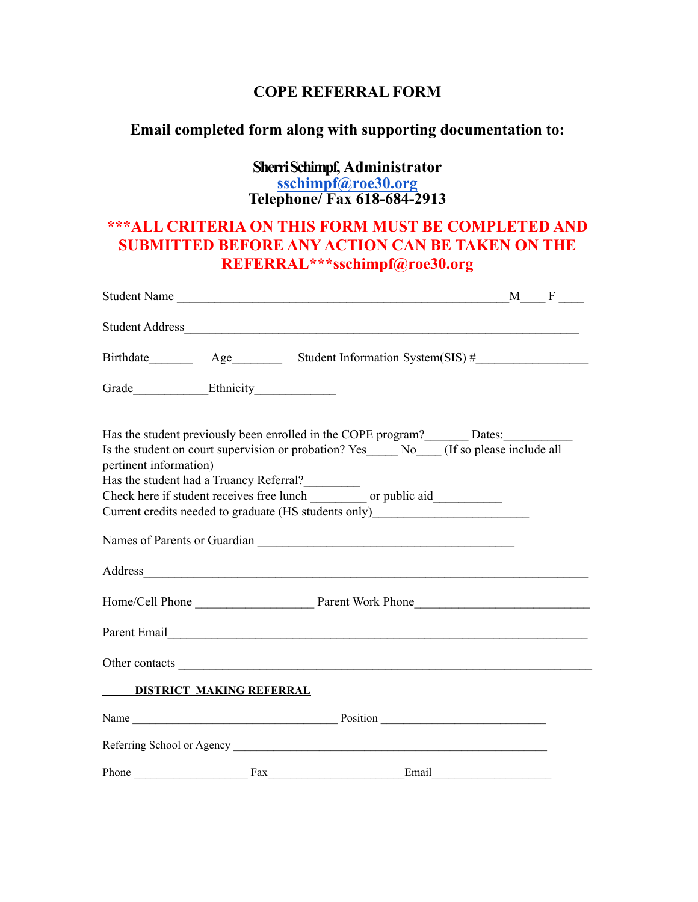## **COPE REFERRAL FORM**

# **Email completed form along with supporting documentation to:**

## **Sherri Schimpf, Administrator sschimpf[@roe30.org](mailto:nbitner@roe30.org) Telephone/ Fax 618-684-2913**

# **\*\*\*ALL CRITERIA ON THIS FORM MUST BE COMPLETED AND SUBMITTED BEFORE ANY ACTION CAN BE TAKEN ON THE REFERRAL\*\*\*sschimpf@roe30.org**

|                        |                                 | $M \_\ F \_\$<br>Student Name                                                                                                                                                                                                                                                   |
|------------------------|---------------------------------|---------------------------------------------------------------------------------------------------------------------------------------------------------------------------------------------------------------------------------------------------------------------------------|
|                        |                                 |                                                                                                                                                                                                                                                                                 |
|                        |                                 |                                                                                                                                                                                                                                                                                 |
|                        |                                 |                                                                                                                                                                                                                                                                                 |
| pertinent information) |                                 | Has the student previously been enrolled in the COPE program?________ Dates:____________<br>Is the student on court supervision or probation? Yes _______ No_____ (If so please include all<br>Current credits needed to graduate (HS students only)___________________________ |
|                        |                                 |                                                                                                                                                                                                                                                                                 |
|                        |                                 |                                                                                                                                                                                                                                                                                 |
|                        |                                 | Parent Email <u>December 2008</u>                                                                                                                                                                                                                                               |
|                        |                                 |                                                                                                                                                                                                                                                                                 |
|                        | <b>DISTRICT MAKING REFERRAL</b> |                                                                                                                                                                                                                                                                                 |
|                        |                                 |                                                                                                                                                                                                                                                                                 |
|                        |                                 | Referring School or Agency                                                                                                                                                                                                                                                      |
| Phone                  | Fax                             | Email                                                                                                                                                                                                                                                                           |